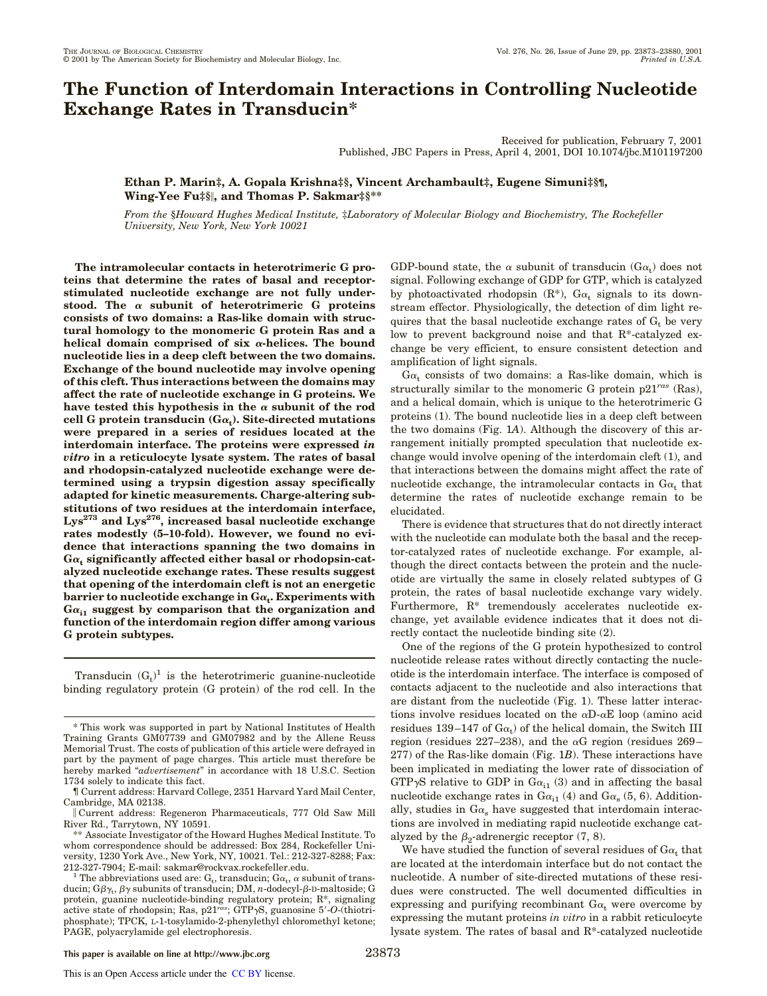# **The Function of Interdomain Interactions in Controlling Nucleotide Exchange Rates in Transducin\***

Received for publication, February 7, 2001 Published, JBC Papers in Press, April 4, 2001, DOI 10.1074/jbc.M101197200

## **Ethan P. Marin‡, A. Gopala Krishna‡§, Vincent Archambault‡, Eugene Simuni‡§¶, Wing-Yee Fu‡§**i**, and Thomas P. Sakmar‡§\*\***

*From the* §*Howard Hughes Medical Institute,* ‡*Laboratory of Molecular Biology and Biochemistry, The Rockefeller University, New York, New York 10021*

**The intramolecular contacts in heterotrimeric G proteins that determine the rates of basal and receptorstimulated nucleotide exchange are not fully understood. The** <sup>a</sup> **subunit of heterotrimeric G proteins consists of two domains: a Ras-like domain with structural homology to the monomeric G protein Ras and a helical domain comprised of six** <sup>a</sup>**-helices. The bound nucleotide lies in a deep cleft between the two domains. Exchange of the bound nucleotide may involve opening of this cleft. Thus interactions between the domains may affect the rate of nucleotide exchange in G proteins. We** have tested this hypothesis in the  $\alpha$  subunit of the rod **cell G protein transducin (G**<sup>a</sup>**<sup>t</sup> ). Site-directed mutations were prepared in a series of residues located at the interdomain interface. The proteins were expressed** *in vitro* **in a reticulocyte lysate system. The rates of basal and rhodopsin-catalyzed nucleotide exchange were determined using a trypsin digestion assay specifically adapted for kinetic measurements. Charge-altering substitutions of two residues at the interdomain interface, Lys<sup>273</sup> and Lys276, increased basal nucleotide exchange rates modestly (5–10-fold). However, we found no evidence that interactions spanning the two domains in**  $\mathbf{G}\alpha_{\mathbf{t}}$  significantly affected either basal or rhodopsin-cat**alyzed nucleotide exchange rates. These results suggest that opening of the interdomain cleft is not an energetic**  $\mathbf{b}$ arrier to nucleotide exchange in  $\mathbf{G}\alpha_{\mathbf{t}}$ . Experiments with **G**<sup>a</sup>**i1 suggest by comparison that the organization and function of the interdomain region differ among various G protein subtypes.**

Transducin  $(G_t)^1$  is the heterotrimeric guanine-nucleotide binding regulatory protein (G protein) of the rod cell. In the

GDP-bound state, the  $\alpha$  subunit of transducin (G $\alpha_t$ ) does not signal. Following exchange of GDP for GTP, which is catalyzed by photoactivated rhodopsin  $(R^*)$ ,  $Ga_t$  signals to its downstream effector. Physiologically, the detection of dim light requires that the basal nucleotide exchange rates of  $G_t$  be very low to prevent background noise and that R\*-catalyzed exchange be very efficient, to ensure consistent detection and amplification of light signals.

 $Ga<sub>t</sub>$  consists of two domains: a Ras-like domain, which is structurally similar to the monomeric G protein p21*ras* (Ras), and a helical domain, which is unique to the heterotrimeric G proteins (1). The bound nucleotide lies in a deep cleft between the two domains (Fig. 1*A*). Although the discovery of this arrangement initially prompted speculation that nucleotide exchange would involve opening of the interdomain cleft (1), and that interactions between the domains might affect the rate of nucleotide exchange, the intramolecular contacts in  $Ga_t$  that determine the rates of nucleotide exchange remain to be elucidated.

There is evidence that structures that do not directly interact with the nucleotide can modulate both the basal and the receptor-catalyzed rates of nucleotide exchange. For example, although the direct contacts between the protein and the nucleotide are virtually the same in closely related subtypes of G protein, the rates of basal nucleotide exchange vary widely. Furthermore, R\* tremendously accelerates nucleotide exchange, yet available evidence indicates that it does not directly contact the nucleotide binding site (2).

One of the regions of the G protein hypothesized to control nucleotide release rates without directly contacting the nucleotide is the interdomain interface. The interface is composed of contacts adjacent to the nucleotide and also interactions that are distant from the nucleotide (Fig. 1). These latter interactions involve residues located on the  $\alpha$ D- $\alpha$ E loop (amino acid residues 139–147 of  $Ga_t$ ) of the helical domain, the Switch III region (residues 227–238), and the  $\alpha$ G region (residues 269– 277) of the Ras-like domain (Fig. 1*B*). These interactions have been implicated in mediating the lower rate of dissociation of GTP $\gamma$ S relative to GDP in G $\alpha_{i1}$  (3) and in affecting the basal nucleotide exchange rates in  $Ga_{i1}$  (4) and  $Ga_{s}$  (5, 6). Additionally, studies in  $Ga_s$  have suggested that interdomain interactions are involved in mediating rapid nucleotide exchange catalyzed by the  $\beta_2$ -adrenergic receptor (7, 8).

We have studied the function of several residues of  $\text{G}\alpha_\text{t}$  that are located at the interdomain interface but do not contact the nucleotide. A number of site-directed mutations of these residues were constructed. The well documented difficulties in expressing and purifying recombinant  $Ga_t$  were overcome by expressing the mutant proteins *in vitro* in a rabbit reticulocyte lysate system. The rates of basal and R\*-catalyzed nucleotide

<sup>\*</sup> This work was supported in part by National Institutes of Health Training Grants GM07739 and GM07982 and by the Allene Reuss Memorial Trust. The costs of publication of this article were defrayed in part by the payment of page charges. This article must therefore be hereby marked "*advertisement*" in accordance with 18 U.S.C. Section 1734 solely to indicate this fact.

<sup>¶</sup> Current address: Harvard College, 2351 Harvard Yard Mail Center, Cambridge, MA 02138.

i Current address: Regeneron Pharmaceuticals, 777 Old Saw Mill River Rd., Tarrytown, NY 10591.

<sup>\*\*</sup> Associate Investigator of the Howard Hughes Medical Institute. To whom correspondence should be addressed: Box 284, Rockefeller University, 1230 York Ave., New York, NY, 10021. Tel.: 212-327-8288; Fax: 212-327-7904; E-mail: sakmar@rockvax.rockefeller.edu.

<sup>&</sup>lt;sup>1</sup> The abbreviations used are: G<sub>t</sub>, transducin; G $\alpha$ <sub>t</sub>,  $\alpha$  subunit of transducin;  $G\beta\gamma_t$ ,  $\beta\gamma$  subunits of transducin; DM, *n*-dodecyl- $\beta$ -D-maltoside; G protein, guanine nucleotide-binding regulatory protein; R\*, signaling active state of rhodopsin; Ras, p21<sup>*ras*</sup>; GTP<sub>Y</sub>S, guanosine 5'-O-(thiotriphosphate); TPCK, L-1-tosylamido-2-phenylethyl chloromethyl ketone; PAGE, polyacrylamide gel electrophoresis.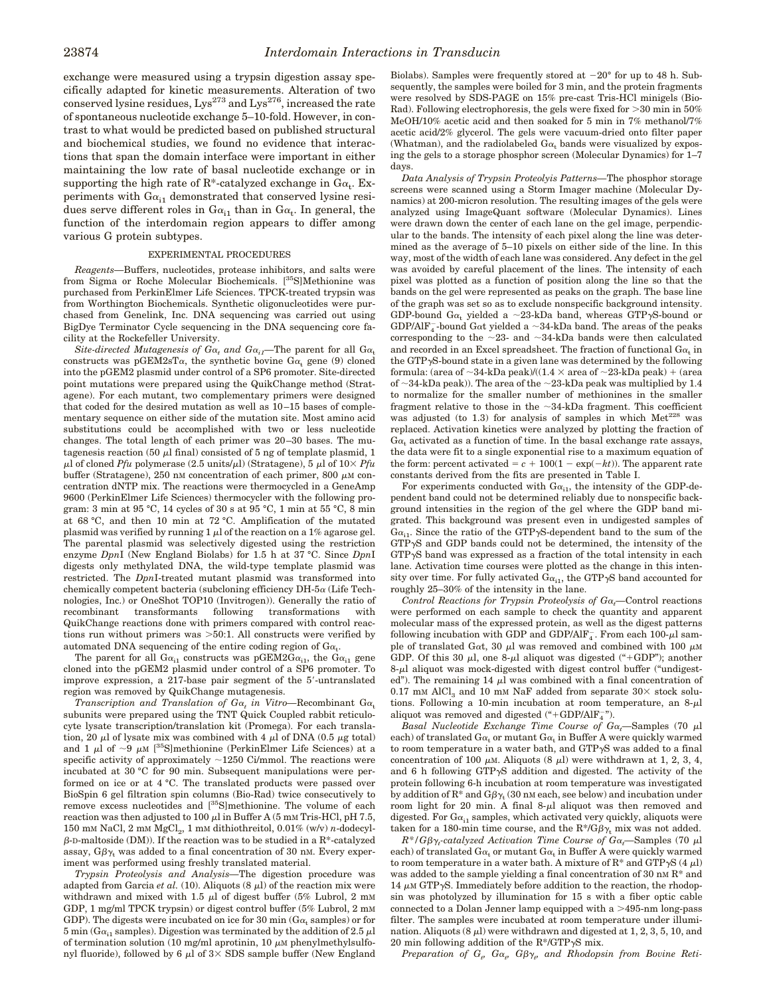exchange were measured using a trypsin digestion assay specifically adapted for kinetic measurements. Alteration of two conserved lysine residues,  $Lys^{273}$  and  $Lys^{276}$ , increased the rate of spontaneous nucleotide exchange 5–10-fold. However, in contrast to what would be predicted based on published structural and biochemical studies, we found no evidence that interactions that span the domain interface were important in either maintaining the low rate of basal nucleotide exchange or in supporting the high rate of R\*-catalyzed exchange in  $Ga_t$ . Experiments with  $Ga_{i1}$  demonstrated that conserved lysine residues serve different roles in  $Ga_{i1}$  than in  $Ga_t$ . In general, the function of the interdomain region appears to differ among various G protein subtypes.

#### EXPERIMENTAL PROCEDURES

*Reagents—*Buffers, nucleotides, protease inhibitors, and salts were from Sigma or Roche Molecular Biochemicals. [<sup>35</sup>S]Methionine was purchased from PerkinElmer Life Sciences. TPCK-treated trypsin was from Worthington Biochemicals. Synthetic oligonucleotides were purchased from Genelink, Inc. DNA sequencing was carried out using BigDye Terminator Cycle sequencing in the DNA sequencing core facility at the Rockefeller University.

*Site-directed Mutagenesis of*  $G_{\alpha_t}$  *and*  $G_{\alpha_{i}}$ *—The parent for all*  $G_{\alpha_t}$ constructs was pGEM2sT $\alpha$ , the synthetic bovine  $G_{\alpha_t}$  gene (9) cloned into the pGEM2 plasmid under control of a SP6 promoter. Site-directed point mutations were prepared using the QuikChange method (Stratagene). For each mutant, two complementary primers were designed that coded for the desired mutation as well as 10–15 bases of complementary sequence on either side of the mutation site. Most amino acid substitutions could be accomplished with two or less nucleotide changes. The total length of each primer was 20–30 bases. The mutagenesis reaction (50  $\mu$ l final) consisted of 5 ng of template plasmid, 1  $\mu$ l of cloned *Pfu* polymerase (2.5 units/ $\mu$ l) (Stratagene), 5  $\mu$ l of  $10 \times P$ *fu* buffer (Stratagene), 250 nM concentration of each primer, 800  $\mu$ M concentration dNTP mix. The reactions were thermocycled in a GeneAmp 9600 (PerkinElmer Life Sciences) thermocycler with the following program: 3 min at 95 °C, 14 cycles of 30 s at 95 °C, 1 min at 55 °C, 8 min at 68 °C, and then 10 min at 72 °C. Amplification of the mutated plasmid was verified by running  $1 \mu$ l of the reaction on a  $1\%$  agarose gel. The parental plasmid was selectively digested using the restriction enzyme *Dpn*I (New England Biolabs) for 1.5 h at 37 °C. Since *Dpn*I digests only methylated DNA, the wild-type template plasmid was restricted. The *Dpn*I-treated mutant plasmid was transformed into chemically competent bacteria (subcloning efficiency  $DH-5\alpha$  (Life Technologies, Inc.) or OneShot TOP10 (Invitrogen)). Generally the ratio of recombinant transformants following transformations with QuikChange reactions done with primers compared with control reactions run without primers was  $>50:1$ . All constructs were verified by automated DNA sequencing of the entire coding region of  $Ga_t$ .

The parent for all  $Ga_{i1}$  constructs was pGEM2G $\alpha_{i1}$ , the G $\alpha_{i1}$  gene cloned into the pGEM2 plasmid under control of a SP6 promoter. To improve expression, a  $217$ -base pair segment of the  $5'$ -untranslated region was removed by QuikChange mutagenesis.

*Transcription and Translation of*  $G\alpha_t$  *in Vitro—Recombinant*  $G\alpha_t$ subunits were prepared using the TNT Quick Coupled rabbit reticulocyte lysate transcription/translation kit (Promega). For each translation, 20  $\mu$ l of lysate mix was combined with 4  $\mu$ l of DNA (0.5  $\mu$ g total) and 1  $\mu$ l of ~9  $\mu$ M [<sup>35</sup>S]methionine (PerkinElmer Life Sciences) at a specific activity of approximately  $\sim$ 1250 Ci/mmol. The reactions were incubated at 30 °C for 90 min. Subsequent manipulations were performed on ice or at 4 °C. The translated products were passed over BioSpin 6 gel filtration spin columns (Bio-Rad) twice consecutively to remove excess nucleotides and [35S]methionine. The volume of each reaction was then adjusted to 100  $\mu$ l in Buffer A (5 mM Tris-HCl, pH 7.5, 150 mm NaCl, 2 mm MgCl<sub>2</sub>, 1 mm dithiothreitol, 0.01% (w/v) *n*-dodecyl- $\beta$ -D-maltoside (DM)). If the reaction was to be studied in a R<sup>\*</sup>-catalyzed assay,  $G\beta\gamma_t$  was added to a final concentration of 30 nm. Every experiment was performed using freshly translated material.

*Trypsin Proteolysis and Analysis—*The digestion procedure was adapted from Garcia *et al.* (10). Aliquots  $(8 \mu l)$  of the reaction mix were withdrawn and mixed with 1.5  $\mu$ l of digest buffer (5% Lubrol, 2 mM) GDP, 1 mg/ml TPCK trypsin) or digest control buffer (5% Lubrol, 2 mM GDP). The digests were incubated on ice for 30 min ( $G\alpha_t$  samples) or for 5 min (G $\alpha_{i1}$  samples). Digestion was terminated by the addition of 2.5  $\mu$ l of termination solution (10 mg/ml aprotinin, 10  $\mu$ M phenylmethylsulfonyl fluoride), followed by 6  $\mu$ l of 3× SDS sample buffer (New England

Biolabs). Samples were frequently stored at  $-20^{\circ}$  for up to 48 h. Subsequently, the samples were boiled for 3 min, and the protein fragments were resolved by SDS-PAGE on 15% pre-cast Tris-HCl minigels (Bio-Rad). Following electrophoresis, the gels were fixed for  $>$ 30 min in 50% MeOH/10% acetic acid and then soaked for 5 min in 7% methanol/7% acetic acid/2% glycerol. The gels were vacuum-dried onto filter paper (Whatman), and the radiolabeled  $Ga<sub>t</sub>$  bands were visualized by exposing the gels to a storage phosphor screen (Molecular Dynamics) for 1–7 days.

*Data Analysis of Trypsin Proteolyis Patterns—*The phosphor storage screens were scanned using a Storm Imager machine (Molecular Dynamics) at 200-micron resolution. The resulting images of the gels were analyzed using ImageQuant software (Molecular Dynamics). Lines were drawn down the center of each lane on the gel image, perpendicular to the bands. The intensity of each pixel along the line was determined as the average of 5–10 pixels on either side of the line. In this way, most of the width of each lane was considered. Any defect in the gel was avoided by careful placement of the lines. The intensity of each pixel was plotted as a function of position along the line so that the bands on the gel were represented as peaks on the graph. The base line of the graph was set so as to exclude nonspecific background intensity. GDP-bound G $\alpha_t$ , yielded a ~23-kDa band, whereas GTP $\gamma$ S-bound or GDP/AlF<sub>4</sub>-bound Gat yielded a  $\sim$ 34-kDa band. The areas of the peaks corresponding to the  $\sim$ 23- and  $\sim$ 34-kDa bands were then calculated and recorded in an Excel spreadsheet. The fraction of functional  ${\rm G}\alpha_{\rm t}$  in the GTP $\gamma$ S-bound state in a given lane was determined by the following formula: (area of  $\sim$ 34-kDa peak)/((1.4  $\times$  area of  $\sim$ 23-kDa peak) + (area of  $\sim$ 34-kDa peak)). The area of the  $\sim$ 23-kDa peak was multiplied by 1.4 to normalize for the smaller number of methionines in the smaller fragment relative to those in the  $\sim$ 34-kDa fragment. This coefficient was adjusted (to  $1.3$ ) for analysis of samples in which  $Met<sup>228</sup>$  was replaced. Activation kinetics were analyzed by plotting the fraction of  $Ga<sub>t</sub>$  activated as a function of time. In the basal exchange rate assays, the data were fit to a single exponential rise to a maximum equation of the form: percent activated  $= c + 100(1 - \exp(-kt))$ . The apparent rate constants derived from the fits are presented in Table I.

For experiments conducted with  $Ga_{i1}$ , the intensity of the GDP-dependent band could not be determined reliably due to nonspecific background intensities in the region of the gel where the GDP band migrated. This background was present even in undigested samples of  $Ga_{i1}$ . Since the ratio of the GTP $\gamma$ S-dependent band to the sum of the GTPgS and GDP bands could not be determined, the intensity of the  $GTP\gamma S$  band was expressed as a fraction of the total intensity in each lane. Activation time courses were plotted as the change in this intensity over time. For fully activated  $Ga_{i1}$ , the GTP $\gamma$ S band accounted for roughly 25–30% of the intensity in the lane.

*Control Reactions for Trypsin Proteolysis of*  $Ga_t$ *—Control reactions* were performed on each sample to check the quantity and apparent molecular mass of the expressed protein, as well as the digest patterns following incubation with GDP and GDP/AlF<sub>4</sub>. From each 100- $\mu$ l sample of translated Gat, 30  $\mu$ l was removed and combined with 100  $\mu$ M GDP. Of this 30  $\mu$ l, one 8- $\mu$ l aliquot was digested ("+GDP"); another  $8-\mu l$  aliquot was mock-digested with digest control buffer ("undigested"). The remaining 14  $\mu$ l was combined with a final concentration of 0.17 mM AlCl<sub>3</sub> and 10 mM NaF added from separate  $30\times$  stock solutions. Following a 10-min incubation at room temperature, an  $8-\mu l$ aliquot was removed and digested  $($ "+GDP/AlF<sub>4</sub>").

*Basal Nucleotide Exchange Time Course of*  $Ga_t$ *—Samples (70*  $\mu$ *l)* each) of translated  $\text{G}\alpha_{\text{t}}$  or mutant  $\text{G}\alpha_{\text{t}}$  in Buffer A were quickly warmed to room temperature in a water bath, and  $GTP\gamma S$  was added to a final concentration of 100  $\mu$ M. Aliquots (8  $\mu$ l) were withdrawn at 1, 2, 3, 4, and 6 h following  $GTP\gamma S$  addition and digested. The activity of the protein following 6-h incubation at room temperature was investigated by addition of  $\mathrm{R}^*$  and  $\mathrm{G}\beta\gamma_\mathrm{t}$  (30 nM each, see below) and incubation under room light for 20 min. A final  $8-\mu l$  aliquot was then removed and digested. For  $Ga_{i1}$  samples, which activated very quickly, aliquots were taken for a 180-min time course, and the  $R^*/G\beta\gamma_t$  mix was not added.

 $R^*/G\beta\gamma_t$ -catalyzed Activation Time Course of  $G\alpha_t$ —Samples (70  $\mu$ l each) of translated  $\text{G}\alpha_{\text{t}}$  or mutant  $\text{G}\alpha_{\text{t}}$  in Buffer A were quickly warmed to room temperature in a water bath. A mixture of  $R^*$  and  $GTP\gamma S$  (4  $\mu$ l) was added to the sample yielding a final concentration of 30 nm  $R^*$  and 14  $\mu$ M GTP $\gamma$ S. Immediately before addition to the reaction, the rhodopsin was photolyzed by illumination for 15 s with a fiber optic cable connected to a Dolan Jenner lamp equipped with a  $>495$ -nm long-pass filter. The samples were incubated at room temperature under illumination. Aliquots  $(8 \mu l)$  were withdrawn and digested at 1, 2, 3, 5, 10, and 20 min following addition of the  $R*/GTP\gamma S$  mix.

 $Preparation$  of  $G_t$ ,  $G\alpha_t$ ,  $G\beta\gamma_t$ , and  $Rhodopsin$  from Bovine Reti-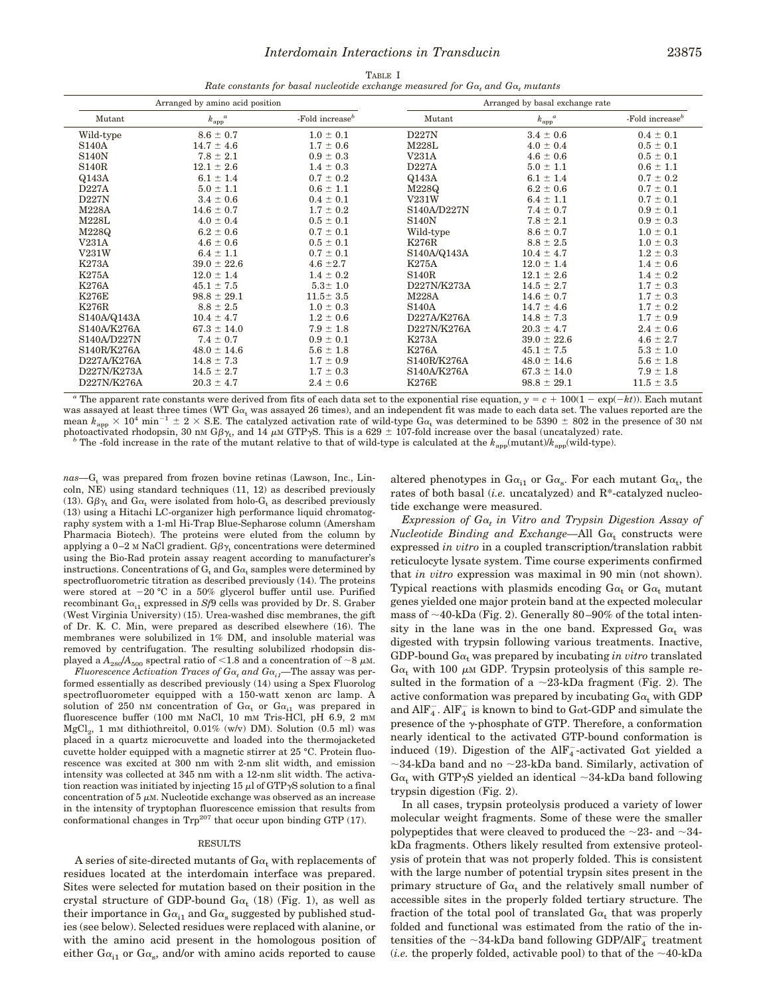| Arranged by amino acid position |                                      |                    | Arranged by basal exchange rate |                                      |                             |
|---------------------------------|--------------------------------------|--------------------|---------------------------------|--------------------------------------|-----------------------------|
| Mutant                          | $k_{\mathrm{app}}^{\phantom{0}}{}^a$ | -Fold increase $b$ | Mutant                          | $k_{\mathrm{app}}^{\phantom{0}}{}^a$ | -Fold increase <sup>b</sup> |
| Wild-type                       | $8.6 \pm 0.7$                        | $1.0 \pm 0.1$      | D227N                           | $3.4 \pm 0.6$                        | $0.4 \pm 0.1$               |
| <b>S140A</b>                    | $14.7 \pm 4.6$                       | $1.7 \pm 0.6$      | M228L                           | $4.0 \pm 0.4$                        | $0.5 \pm 0.1$               |
| <b>S140N</b>                    | $7.8 \pm 2.1$                        | $0.9 \pm 0.3$      | V231A                           | $4.6 \pm 0.6$                        | $0.5 \pm 0.1$               |
| <b>S140R</b>                    | $12.1 \pm 2.6$                       | $1.4 \pm 0.3$      | D227A                           | $5.0 \pm 1.1$                        | $0.6 \pm 1.1$               |
| Q143A                           | $6.1 \pm 1.4$                        | $0.7 \pm 0.2$      | Q143A                           | $6.1 \pm 1.4$                        | $0.7 \pm 0.2$               |
| D227A                           | $5.0 \pm 1.1$                        | $0.6 \pm 1.1$      | M228Q                           | $6.2 \pm 0.6$                        | $0.7 \pm 0.1$               |
| D227N                           | $3.4 \pm 0.6$                        | $0.4 \pm 0.1$      | V231W                           | $6.4 \pm 1.1$                        | $0.7 \pm 0.1$               |
| M228A                           | $14.6 \pm 0.7$                       | $1.7 \pm 0.2$      | S140A/D227N                     | $7.4 \pm 0.7$                        | $0.9 \pm 0.1$               |
| M228L                           | $4.0 \pm 0.4$                        | $0.5 \pm 0.1$      | <b>S140N</b>                    | $7.8 \pm 2.1$                        | $0.9 \pm 0.3$               |
| M228Q                           | $6.2 \pm 0.6$                        | $0.7 \pm 0.1$      | Wild-type                       | $8.6 \pm 0.7$                        | $1.0 \pm 0.1$               |
| V231A                           | $4.6 \pm 0.6$                        | $0.5 \pm 0.1$      | K276R                           | $8.8 \pm 2.5$                        | $1.0 \pm 0.3$               |
| V231W                           | $6.4 \pm 1.1$                        | $0.7 \pm 0.1$      | S140A/Q143A                     | $10.4 \pm 4.7$                       | $1.2 \pm 0.3$               |
| K273A                           | $39.0 \pm 22.6$                      | $4.6 \pm 2.7$      | K275A                           | $12.0 \pm 1.4$                       | $1.4 \pm 0.6$               |
| <b>K275A</b>                    | $12.0 \pm 1.4$                       | $1.4 \pm 0.2$      | <b>S140R</b>                    | $12.1 \pm 2.6$                       | $1.4 \pm 0.2$               |
| K276A                           | $45.1 \pm 7.5$                       | $5.3 \pm 1.0$      | D227N/K273A                     | $14.5 \pm 2.7$                       | $1.7 \pm 0.3$               |
| <b>K276E</b>                    | $98.8 \pm 29.1$                      | $11.5 \pm 3.5$     | <b>M228A</b>                    | $14.6 \pm 0.7$                       | $1.7 \pm 0.3$               |
| K276R                           | $8.8 \pm 2.5$                        | $1.0 \pm 0.3$      | <b>S140A</b>                    | $14.7 \pm 4.6$                       | $1.7 \pm 0.2$               |
| S140A/Q143A                     | $10.4 \pm 4.7$                       | $1.2 \pm 0.6$      | D227A/K276A                     | $14.8 \pm 7.3$                       | $1.7 \pm 0.9$               |
| S140A/K276A                     | $67.3 \pm 14.0$                      | $7.9 \pm 1.8$      | D227N/K276A                     | $20.3 \pm 4.7$                       | $2.4 \pm 0.6$               |
| S140A/D227N                     | $7.4 \pm 0.7$                        | $0.9 \pm 0.1$      | K273A                           | $39.0 \pm 22.6$                      | $4.6 \pm 2.7$               |
| S140R/K276A                     | $48.0 \pm 14.6$                      | $5.6 \pm 1.8$      | <b>K276A</b>                    | $45.1 \pm 7.5$                       | $5.3 \pm 1.0$               |
| D227A/K276A                     | $14.8 \pm 7.3$                       | $1.7 \pm 0.9$      | S140R/K276A                     | $48.0 \pm 14.6$                      | $5.6 \pm 1.8$               |
| D227N/K273A                     | $14.5 \pm 2.7$                       | $1.7 \pm 0.3$      | S140A/K276A                     | $67.3 \pm 14.0$                      | $7.9 \pm 1.8$               |
| D227N/K276A                     | $20.3 \pm 4.7$                       | $2.4 \pm 0.6$      | K276E                           | $98.8 \pm 29.1$                      | $11.5 \pm 3.5$              |

<sup>*a*</sup> The apparent rate constants were derived from fits of each data set to the exponential rise equation,  $y = c + 100(1 - \exp(-kt))$ . Each mutant was assayed at least three times (WT  $Ga_t$  was assayed 26 times), and an independent fit was made to each data set. The values reported are the mean  $k_{\text{app}} \times 10^4$  min<sup>-1</sup>  $\pm$  2  $\times$  S.E. The catalyzed activation rate of wild-type Ga<sub>t</sub> was determined to be 5390  $\pm$  802 in the presence of 30 nm photoactivated rhodopsin, 30 nm G $\beta_{\gamma_{\rm t}}$ , and 14  $\mu$ m GTP $\gamma$ S. This is a 629  $\pm$  107-fold increase over the basal (uncatalyzed) rate. *b* The -fold increase in the rate of the mutant relative to that of wild-type is calculated at the  $k_{app}$ (mutant)/ $k_{app}$ (wild-type).

*nas*—G<sub>t</sub> was prepared from frozen bovine retinas (Lawson, Inc., Lincoln, NE) using standard techniques (11, 12) as described previously (13).  $G\beta\gamma_t$  and  $G\alpha_t$  were isolated from holo- $G_t$  as described previously (13) using a Hitachi LC-organizer high performance liquid chromatography system with a 1-ml Hi-Trap Blue-Sepharose column (Amersham Pharmacia Biotech). The proteins were eluted from the column by applying a 0–2 M NaCl gradient.  $G\beta\gamma_t$  concentrations were determined using the Bio-Rad protein assay reagent according to manufacturer's instructions. Concentrations of  $\mathrm{G}_\mathrm{t}$  and  $\mathrm{G}\alpha_\mathrm{t}$  samples were determined by spectrofluorometric titration as described previously (14). The proteins were stored at  $-20$  °C in a 50% glycerol buffer until use. Purified recombinant  $Ga_{11}$  expressed in *Sf*9 cells was provided by Dr. S. Graber (West Virginia University) (15). Urea-washed disc membranes, the gift of Dr. K. C. Min, were prepared as described elsewhere (16). The membranes were solubilized in 1% DM, and insoluble material was removed by centrifugation. The resulting solubilized rhodopsin displayed a  $A_{280}/A_{500}$  spectral ratio of <1.8 and a concentration of  $\sim$ 8  $\mu$ M.

*Fluorescence Activation Traces of*  $G\alpha$ *, and*  $G\alpha$ *<sub>i</sub>—The assay was per*formed essentially as described previously (14) using a Spex Fluorolog spectrofluorometer equipped with a 150-watt xenon arc lamp. A solution of 250 nm concentration of  $Ga_t$  or  $Ga_{i1}$  was prepared in fluorescence buffer (100 mm NaCl, 10 mm Tris-HCl, pH 6.9, 2 mm  ${ {\rm MgCl}_{2},\;1\; \text{mm}}$  dithiothreitol, 0.01% (w/v) DM). Solution (0.5 ml) was placed in a quartz microcuvette and loaded into the thermojacketed cuvette holder equipped with a magnetic stirrer at 25 °C. Protein fluorescence was excited at 300 nm with 2-nm slit width, and emission intensity was collected at 345 nm with a 12-nm slit width. The activation reaction was initiated by injecting 15  $\mu$ l of GTP $\gamma$ S solution to a final concentration of  $5 \mu$ M. Nucleotide exchange was observed as an increase in the intensity of tryptophan fluorescence emission that results from conformational changes in  $\text{Trp}^{207}$  that occur upon binding GTP (17).

#### RESULTS

A series of site-directed mutants of  $Ga<sub>t</sub>$  with replacements of residues located at the interdomain interface was prepared. Sites were selected for mutation based on their position in the crystal structure of GDP-bound  $Ga_t$  (18) (Fig. 1), as well as their importance in  $\text{G}\alpha_{\text{i1}}$  and  $\text{G}\alpha_{\text{s}}$  suggested by published studies (see below). Selected residues were replaced with alanine, or with the amino acid present in the homologous position of either  $Ga_{i1}$  or  $Ga_{s}$ , and/or with amino acids reported to cause

altered phenotypes in  $Ga_{i1}$  or  $Ga_s$ . For each mutant  $Ga_t$ , the rates of both basal (*i.e.* uncatalyzed) and R\*-catalyzed nucleotide exchange were measured.

*Expression of G*<sup>a</sup>*<sup>t</sup> in Vitro and Trypsin Digestion Assay of*  $Nucleotide \; Binding \; and \; Exchange$ —All  $Ga_{\rm t}$  constructs were expressed *in vitro* in a coupled transcription/translation rabbit reticulocyte lysate system. Time course experiments confirmed that *in vitro* expression was maximal in 90 min (not shown). Typical reactions with plasmids encoding  ${\rm G}\alpha_{\rm t}$  or  ${\rm G}\alpha_{\rm t}$  mutant genes yielded one major protein band at the expected molecular mass of  $\sim$ 40-kDa (Fig. 2). Generally 80–90% of the total intensity in the lane was in the one band. Expressed  $Ga<sub>t</sub>$  was digested with trypsin following various treatments. Inactive, GDP-bound  $Ga<sub>t</sub>$  was prepared by incubating *in vitro* translated  $G\alpha_t$  with 100  $\mu$  GDP. Trypsin proteolysis of this sample resulted in the formation of a  $\sim$ 23-kDa fragment (Fig. 2). The active conformation was prepared by incubating  $Ga_t$  with GDP and  $\overline{AIF_4}$ .  $\overline{AIF_4}$  is known to bind to Gat-GDP and simulate the presence of the  $\gamma$ -phosphate of GTP. Therefore, a conformation nearly identical to the activated GTP-bound conformation is induced (19). Digestion of the  $\text{AlF}_{4}^{-}$ -activated G $\alpha$ t yielded a  $\sim$ 34-kDa band and no  $\sim$ 23-kDa band. Similarly, activation of  $Ga<sub>t</sub>$  with GTP $\gamma$ S yielded an identical  $\sim$ 34-kDa band following trypsin digestion (Fig. 2).

In all cases, trypsin proteolysis produced a variety of lower molecular weight fragments. Some of these were the smaller polypeptides that were cleaved to produced the  $\sim$ 23- and  $\sim$ 34kDa fragments. Others likely resulted from extensive proteolysis of protein that was not properly folded. This is consistent with the large number of potential trypsin sites present in the primary structure of  $Ga<sub>t</sub>$  and the relatively small number of accessible sites in the properly folded tertiary structure. The fraction of the total pool of translated  $\text{G}\alpha_\text{t}$  that was properly folded and functional was estimated from the ratio of the intensities of the  ${\sim}34\text{-}\mathrm{kDa}$  band following GDP/AlF<sup> $-$ </sup> treatment (*i.e.* the properly folded, activable pool) to that of the  $\sim$ 40-kDa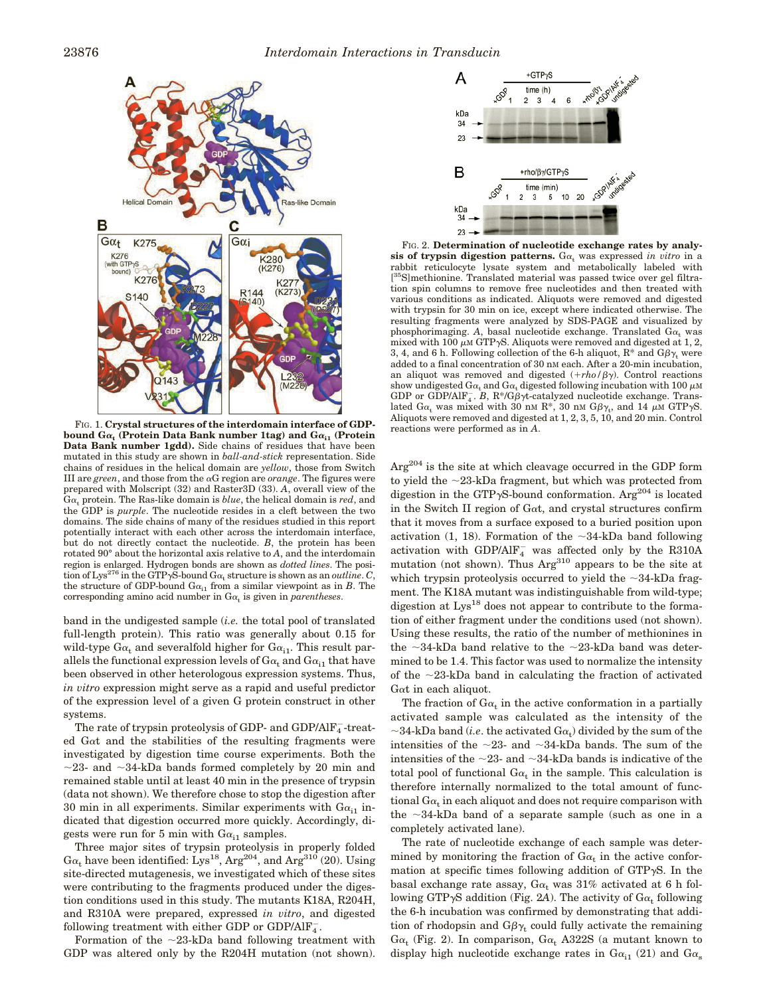

FIG. 1. **Crystal structures of the interdomain interface of GDPbound G**<sup>a</sup>**<sup>t</sup> (Protein Data Bank number 1tag) and G**<sup>a</sup>**i1 (Protein Data Bank number 1gdd).** Side chains of residues that have been mutated in this study are shown in *ball-and-stick* representation. Side chains of residues in the helical domain are *yellow*, those from Switch III are *green*, and those from the  $\alpha G$  region are *orange*. The figures were prepared with Molscript (32) and Raster3D (33). *A*, overall view of the  $Ga<sub>t</sub>$  protein. The Ras-like domain is *blue*, the helical domain is *red*, and the GDP is *purple*. The nucleotide resides in a cleft between the two domains. The side chains of many of the residues studied in this report potentially interact with each other across the interdomain interface, but do not directly contact the nucleotide. *B*, the protein has been rotated 90° about the horizontal axis relative to *A*, and the interdomain region is enlarged. Hydrogen bonds are shown as *dotted lines*. The position of Lys<sup>276</sup> in the GTP<sub>y</sub>S-bound  $G\alpha_t$  structure is shown as an *outline*. *C*, the structure of GDP-bound  $Ga_{i1}$  from a similar viewpoint as in *B*. The corresponding amino acid number in  $Ga_t$  is given in *parentheses*.

band in the undigested sample (*i.e.* the total pool of translated full-length protein). This ratio was generally about 0.15 for wild-type  $Ga_t$  and severalfold higher for  $Ga_{i1}$ . This result parallels the functional expression levels of  $Ga<sub>t</sub>$  and  $Ga<sub>i1</sub>$  that have been observed in other heterologous expression systems. Thus, *in vitro* expression might serve as a rapid and useful predictor of the expression level of a given G protein construct in other systems.

The rate of trypsin proteolysis of GDP- and GDP/AlF $_4^-$ -treated Gat and the stabilities of the resulting fragments were investigated by digestion time course experiments. Both the  $\sim$ 23- and  $\sim$ 34-kDa bands formed completely by 20 min and remained stable until at least 40 min in the presence of trypsin (data not shown). We therefore chose to stop the digestion after 30 min in all experiments. Similar experiments with  $Ga_{i1}$  indicated that digestion occurred more quickly. Accordingly, digests were run for 5 min with  $Ga_{i1}$  samples.

Three major sites of trypsin proteolysis in properly folded  $Ga<sub>t</sub>$  have been identified: Lys<sup>18</sup>, Arg<sup>204</sup>, and Arg<sup>310</sup> (20). Using site-directed mutagenesis, we investigated which of these sites were contributing to the fragments produced under the digestion conditions used in this study. The mutants K18A, R204H, and R310A were prepared, expressed *in vitro*, and digested following treatment with either GDP or GDP/AlF $_4^-$ .

Formation of the  $\sim$ 23-kDa band following treatment with GDP was altered only by the R204H mutation (not shown).



FIG. 2. **Determination of nucleotide exchange rates by analy**sis of trypsin digestion patterns.  $Ga_t$  was expressed *in vitro* in a rabbit reticulocyte lysate system and metabolically labeled with [<sup>35</sup>S]methionine. Translated material was passed twice over gel filtration spin columns to remove free nucleotides and then treated with various conditions as indicated. Aliquots were removed and digested with trypsin for 30 min on ice, except where indicated otherwise. The resulting fragments were analyzed by SDS-PAGE and visualized by phosphorimaging. A, basal nucleotide exchange. Translated  $Ga_t$  was mixed with 100  $\mu$ M GTP $\gamma$ S. Aliquots were removed and digested at 1, 2, 3, 4, and 6 h. Following collection of the 6-h aliquot,  $R^*$  and  $G\beta\gamma_t$  were added to a final concentration of 30 nM each. After a 20-min incubation, an aliquot was removed and digested  $(+rho/\beta\gamma)$ . Control reactions show undigested  $G\alpha_t$  and  $G\alpha_t$  digested following incubation with 100  $\mu$ M GDP or GDP/AlF<sub>4</sub>. B, R\*/G $\beta\gamma t$ -catalyzed nucleotide exchange. Translated  $Ga_{t}$  was mixed with 30 nm  $R^{*}$ , 30 nm  $G\beta\gamma_{t}$ , and 14  $\mu$ m GTP $\gamma$ S. Aliquots were removed and digested at 1, 2, 3, 5, 10, and 20 min. Control reactions were performed as in *A*.

Arg<sup>204</sup> is the site at which cleavage occurred in the GDP form to yield the  $\sim$ 23-kDa fragment, but which was protected from digestion in the GTP $\gamma$ S-bound conformation. Arg<sup>204</sup> is located in the Switch II region of  $G_{\alpha t}$ , and crystal structures confirm that it moves from a surface exposed to a buried position upon activation (1, 18). Formation of the  $\sim$ 34-kDa band following activation with GDP/Al $\mathrm{F}_4^-$  was affected only by the R310A mutation (not shown). Thus Arg<sup>310</sup> appears to be the site at which trypsin proteolysis occurred to yield the  $\sim$ 34-kDa fragment. The K18A mutant was indistinguishable from wild-type; digestion at  $Lys^{18}$  does not appear to contribute to the formation of either fragment under the conditions used (not shown). Using these results, the ratio of the number of methionines in the  $\sim$ 34-kDa band relative to the  $\sim$ 23-kDa band was determined to be 1.4. This factor was used to normalize the intensity of the  $\sim$ 23-kDa band in calculating the fraction of activated Gat in each aliquot.

The fraction of  $Ga_t$  in the active conformation in a partially activated sample was calculated as the intensity of the  ${\sim}34\mbox{-}\mathrm{kDa}$  band  $(i.e.$  the activated<br>  $\mbox{G}\alpha_{\rm t})$  divided by the sum of the intensities of the  $\sim$ 23- and  $\sim$ 34-kDa bands. The sum of the intensities of the  $\sim$ 23- and  $\sim$ 34-kDa bands is indicative of the total pool of functional  $Ga_t$  in the sample. This calculation is therefore internally normalized to the total amount of functional  $G\alpha_t$  in each aliquot and does not require comparison with the  $\sim$ 34-kDa band of a separate sample (such as one in a completely activated lane).

The rate of nucleotide exchange of each sample was determined by monitoring the fraction of  $Ga_t$  in the active conformation at specific times following addition of  $GTP\gamma S$ . In the basal exchange rate assay,  $Ga_t$  was 31% activated at 6 h following GTP $\gamma$ S addition (Fig. 2A). The activity of  $G\alpha_t$  following the 6-h incubation was confirmed by demonstrating that addition of rhodopsin and  $G \beta \gamma_t$  could fully activate the remaining G $\alpha_{\rm t}$  (Fig. 2). In comparison, G $\alpha_{\rm t}$  A322S (a mutant known to display high nucleotide exchange rates in  $Ga_{i1}$  (21) and  $Ga_{s}$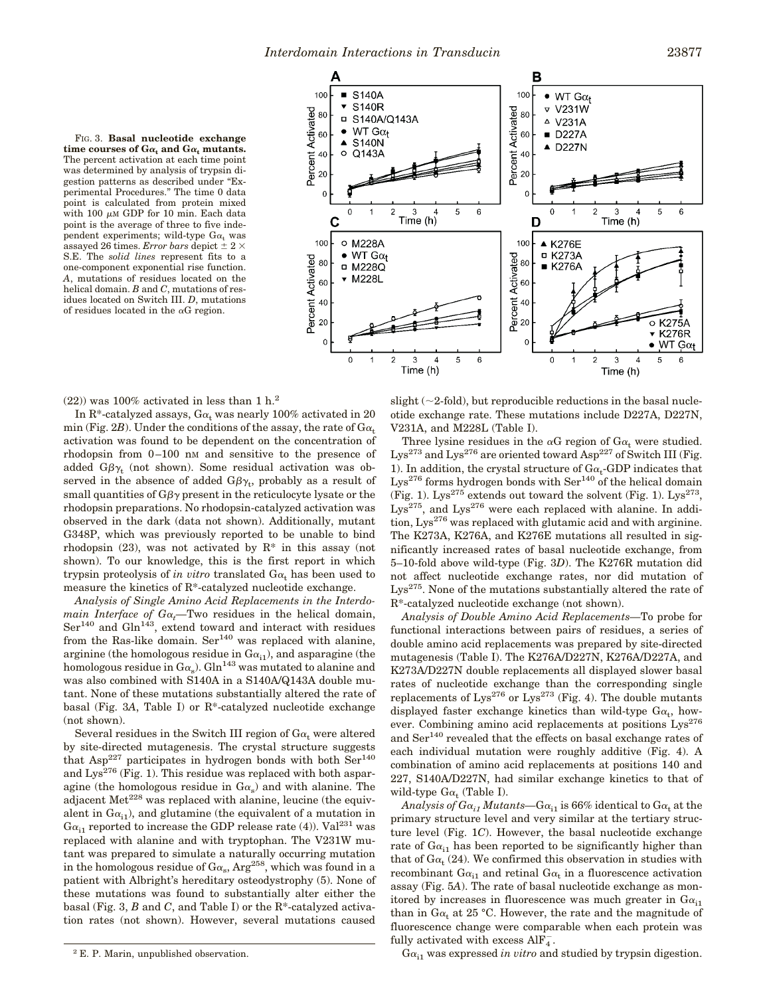FIG. 3. **Basal nucleotide exchange** time courses of  $Ga_t$  and  $Ga_t$  mutants. The percent activation at each time point was determined by analysis of trypsin digestion patterns as described under "Experimental Procedures." The time 0 data point is calculated from protein mixed with 100  $\mu$ M GDP for 10 min. Each data point is the average of three to five independent experiments; wild-type  $Ga_t$  was assayed 26 times. *Error bars* depict  $\pm$  2  $\times$ S.E. The *solid lines* represent fits to a one-component exponential rise function. *A*, mutations of residues located on the helical domain. *B* and *C*, mutations of residues located on Switch III. *D*, mutations of residues located in the  $\alpha$ G region.



 $(22)$ ) was 100% activated in less than 1 h.<sup>2</sup>

In R<sup>\*</sup>-catalyzed assays,  $Ga_t$  was nearly 100% activated in 20 min (Fig. 2*B*). Under the conditions of the assay, the rate of  $Ga_t$ activation was found to be dependent on the concentration of rhodopsin from 0–100 nM and sensitive to the presence of added  $G\beta\gamma_{\rm t}$  (not shown). Some residual activation was observed in the absence of added  $G\beta\gamma_{\rm t}$ , probably as a result of small quantities of  $G\beta\gamma$  present in the reticulocyte lysate or the rhodopsin preparations. No rhodopsin-catalyzed activation was observed in the dark (data not shown). Additionally, mutant G348P, which was previously reported to be unable to bind rhodopsin  $(23)$ , was not activated by  $\mathbb{R}^*$  in this assay (not shown). To our knowledge, this is the first report in which trypsin proteolysis of *in vitro* translated  $Ga<sub>t</sub>$  has been used to measure the kinetics of R\*-catalyzed nucleotide exchange.

*Analysis of Single Amino Acid Replacements in the Interdomain Interface of*  $Ga_t$ —Two residues in the helical domain,  $\text{Ser}^{140}$  and  $\text{Gln}^{143}$ , extend toward and interact with residues from the Ras-like domain. Ser<sup>140</sup> was replaced with alanine, arginine (the homologous residue in  $Ga_{i1}$ ), and asparagine (the homologous residue in  $\rm G\alpha_{s}$ ).  $\rm Gln^{143}$  was mutated to alanine and was also combined with S140A in a S140A/Q143A double mutant. None of these mutations substantially altered the rate of basal (Fig. 3*A*, Table I) or R\*-catalyzed nucleotide exchange (not shown).

Several residues in the Switch III region of  $Ga_t$  were altered by site-directed mutagenesis. The crystal structure suggests that Asp<sup>227</sup> participates in hydrogen bonds with both  $\text{Ser}^{140}$ and  $Lys^{276}$  (Fig. 1). This residue was replaced with both asparagine (the homologous residue in  $Ga_s$ ) and with alanine. The adjacent  $Met<sup>228</sup>$  was replaced with alanine, leucine (the equivalent in  $Ga_{i1}$ ), and glutamine (the equivalent of a mutation in  $Ga_{i1}$  reported to increase the GDP release rate (4)). Val<sup>231</sup> was replaced with alanine and with tryptophan. The V231W mutant was prepared to simulate a naturally occurring mutation in the homologous residue of  $\text{G}\alpha_{\text{s}}$ ,  $\text{Arg}^{258}$ , which was found in a patient with Albright's hereditary osteodystrophy (5). None of these mutations was found to substantially alter either the basal (Fig. 3, *B* and *C*, and Table I) or the R\*-catalyzed activation rates (not shown). However, several mutations caused

slight  $(\sim 2$ -fold), but reproducible reductions in the basal nucleotide exchange rate. These mutations include D227A, D227N, V231A, and M228L (Table I).

Three lysine residues in the  $\alpha G$  region of  $G\alpha_t$  were studied.  $Lys^{273}$  and  $Lys^{276}$  are oriented toward Asp<sup>227</sup> of Switch III (Fig. 1). In addition, the crystal structure of  $Ga_t$ -GDP indicates that  $Lys^{276}$  forms hydrogen bonds with  $Ser^{140}$  of the helical domain (Fig. 1). Lys<sup>275</sup> extends out toward the solvent (Fig. 1). Lys<sup>273</sup>,  $Lys^{275}$ , and  $Lys^{276}$  were each replaced with alanine. In addition,  $Lys^{276}$  was replaced with glutamic acid and with arginine. The K273A, K276A, and K276E mutations all resulted in significantly increased rates of basal nucleotide exchange, from 5–10-fold above wild-type (Fig. 3*D*). The K276R mutation did not affect nucleotide exchange rates, nor did mutation of Lys275. None of the mutations substantially altered the rate of R\*-catalyzed nucleotide exchange (not shown).

*Analysis of Double Amino Acid Replacements—*To probe for functional interactions between pairs of residues, a series of double amino acid replacements was prepared by site-directed mutagenesis (Table I). The K276A/D227N, K276A/D227A, and K273A/D227N double replacements all displayed slower basal rates of nucleotide exchange than the corresponding single replacements of Lys<sup>276</sup> or Lys<sup>273</sup> (Fig. 4). The double mutants displayed faster exchange kinetics than wild-type  $Ga_t$ , however. Combining amino acid replacements at positions  $Lys^{276}$ and Ser<sup>140</sup> revealed that the effects on basal exchange rates of each individual mutation were roughly additive (Fig. 4). A combination of amino acid replacements at positions 140 and 227, S140A/D227N, had similar exchange kinetics to that of wild-type  $Ga_t$  (Table I).

*Analysis of*  $G\alpha_{i1}$  *<i>Mutants*— $G\alpha_{i1}$  is 66% identical to  $G\alpha_{t}$  at the primary structure level and very similar at the tertiary structure level (Fig. 1*C*). However, the basal nucleotide exchange rate of  $Ga_{i1}$  has been reported to be significantly higher than that of  $Ga_{t}$  (24). We confirmed this observation in studies with recombinant  $Ga_{i1}$  and retinal  $Ga_t$  in a fluorescence activation assay (Fig. 5*A*). The rate of basal nucleotide exchange as monitored by increases in fluorescence was much greater in  $Ga_{i1}$ than in  $Ga<sub>t</sub>$  at 25 °C. However, the rate and the magnitude of fluorescence change were comparable when each protein was fully activated with excess  $\text{AlF}_{4}^{-}$ .

<sup>2</sup> E. P. Marin, unpublished observation. 2  $G_{\alpha_{1}}$  was expressed *in vitro* and studied by trypsin digestion.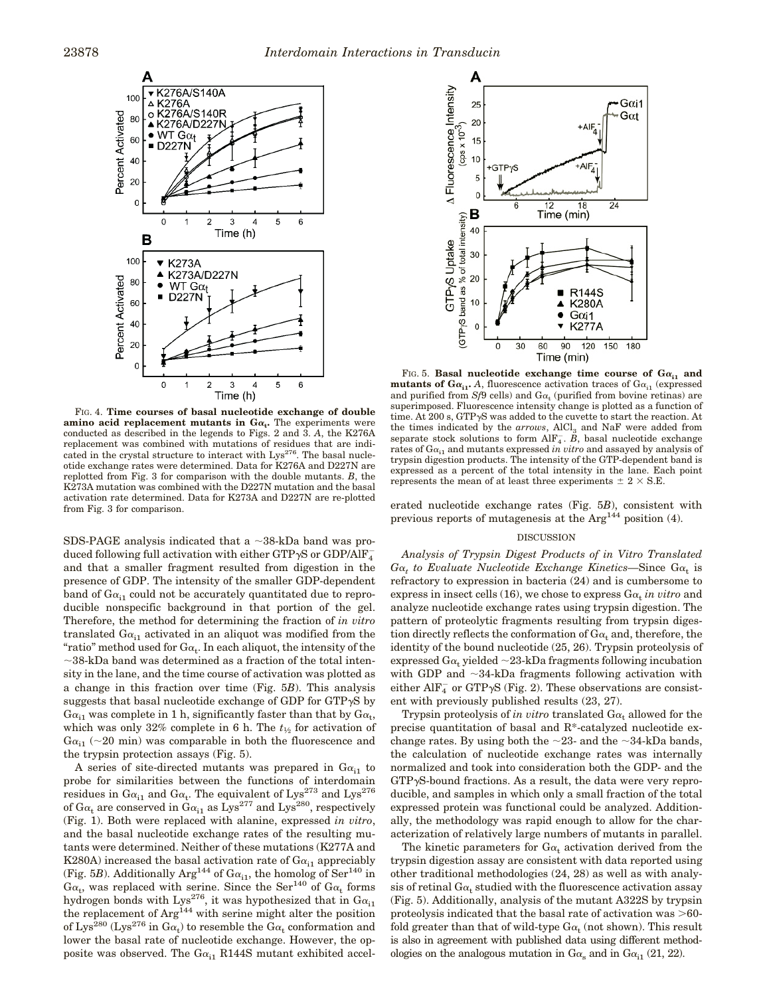

FIG. 4. **Time courses of basal nucleotide exchange of double amino acid replacement mutants in**  $Ga_t$ **. The experiments were** conducted as described in the legends to Figs. 2 and 3. *A*, the K276A replacement was combined with mutations of residues that are indicated in the crystal structure to interact with Lys<sup>276</sup>. The basal nucleotide exchange rates were determined. Data for K276A and D227N are replotted from Fig. 3 for comparison with the double mutants. *B*, the K273A mutation was combined with the D227N mutation and the basal activation rate determined. Data for K273A and D227N are re-plotted from Fig. 3 for comparison.

SDS-PAGE analysis indicated that a  $\sim$ 38-kDa band was produced following full activation with either GTP $\gamma$ S or GDP/AlF $_4^$ and that a smaller fragment resulted from digestion in the presence of GDP. The intensity of the smaller GDP-dependent band of  $Ga_{i1}$  could not be accurately quantitated due to reproducible nonspecific background in that portion of the gel. Therefore, the method for determining the fraction of *in vitro* translated  $Ga_{i1}$  activated in an aliquot was modified from the "ratio" method used for  $\text{G}\alpha_{\text{t}}$ . In each aliquot, the intensity of the  $\sim$ 38-kDa band was determined as a fraction of the total intensity in the lane, and the time course of activation was plotted as a change in this fraction over time (Fig. 5*B*). This analysis suggests that basal nucleotide exchange of GDP for  $GTP\gamma S$  by  $Ga_{i1}$  was complete in 1 h, significantly faster than that by  $Ga_{t}$ , which was only  $32\%$  complete in 6 h. The  $t_{1/2}$  for activation of  $Ga_{i1}$  (~20 min) was comparable in both the fluorescence and the trypsin protection assays (Fig. 5).

A series of site-directed mutants was prepared in  $Ga_{i1}$  to probe for similarities between the functions of interdomain residues in  $G\alpha_{i1}$  and  $G\alpha_{t}$ . The equivalent of  $Lys^{273}$  and  $Lys^{276}$ of  $Ga_t$  are conserved in  $Ga_{i1}$  as  $Lys^{277}$  and  $Lys^{280}$ , respectively (Fig. 1). Both were replaced with alanine, expressed *in vitro*, and the basal nucleotide exchange rates of the resulting mutants were determined. Neither of these mutations (K277A and K280A) increased the basal activation rate of  $Ga_{i1}$  appreciably (Fig. 5*B*). Additionally Arg<sup>144</sup> of G $\alpha_{i1}$ , the homolog of Ser<sup>140</sup> in  $Ga<sub>t</sub>$ , was replaced with serine. Since the Ser<sup>140</sup> of  $Ga<sub>t</sub>$  forms hydrogen bonds with Lys<sup>276</sup>, it was hypothesized that in  $Ga_{i1}$ the replacement of  $Arg<sup>144</sup>$  with serine might alter the position of Lys<sup>280</sup> (Lys<sup>276</sup> in  $G\alpha_t$ ) to resemble the  $G\alpha_t$  conformation and lower the basal rate of nucleotide exchange. However, the opposite was observed. The  $Ga_{i1}$  R144S mutant exhibited accel-



FIG. 5. **Basal nucleotide exchange time course of**  $Ga_{i1}$  **and mutants of G** $\alpha_{i1}$ **.** *A*, fluorescence activation traces of G $\alpha_{i1}$  (expressed and purified from  $S_f$ 9 cells) and  $Ga_t$  (purified from bovine retinas) are superimposed. Fluorescence intensity change is plotted as a function of time. At 200 s,  $GTP\gamma S$  was added to the cuvette to start the reaction. At the times indicated by the *arrows*, AlCl<sub>3</sub> and NaF were added from separate stock solutions to form  $\text{AlF}_{4}^{-}$ . *B*, basal nucleotide exchange rates of  $Ga_{i1}$  and mutants expressed *in vitro* and assayed by analysis of trypsin digestion products. The intensity of the GTP-dependent band is expressed as a percent of the total intensity in the lane. Each point represents the mean of at least three experiments  $\pm$  2  $\times$  S.E.

erated nucleotide exchange rates (Fig. 5*B*), consistent with previous reports of mutagenesis at the  $Arg<sup>144</sup>$  position (4).

### DISCUSSION

*Analysis of Trypsin Digest Products of in Vitro Translated*  $G\alpha_t$  to Evaluate Nucleotide Exchange Kinetics—Since  $G\alpha_t$  is refractory to expression in bacteria (24) and is cumbersome to  $\alpha$  express in insect cells (16), we chose to express  $G\alpha_t$  in vitro and analyze nucleotide exchange rates using trypsin digestion. The pattern of proteolytic fragments resulting from trypsin digestion directly reflects the conformation of  $Ga_t$  and, therefore, the identity of the bound nucleotide (25, 26). Trypsin proteolysis of expressed  $Ga_t$  yielded  $\sim$ 23-kDa fragments following incubation with GDP and  $\sim$ 34-kDa fragments following activation with either AlF<sub>4</sub> or GTP $\gamma$ S (Fig. 2). These observations are consistent with previously published results (23, 27).

Trypsin proteolysis of *in vitro* translated  $Ga_t$  allowed for the precise quantitation of basal and R\*-catalyzed nucleotide exchange rates. By using both the  $\sim$ 23- and the  $\sim$ 34-kDa bands, the calculation of nucleotide exchange rates was internally normalized and took into consideration both the GDP- and the  $GTP\gamma S$ -bound fractions. As a result, the data were very reproducible, and samples in which only a small fraction of the total expressed protein was functional could be analyzed. Additionally, the methodology was rapid enough to allow for the characterization of relatively large numbers of mutants in parallel.

The kinetic parameters for  $Ga_t$  activation derived from the trypsin digestion assay are consistent with data reported using other traditional methodologies (24, 28) as well as with analysis of retinal  $G\alpha_t$  studied with the fluorescence activation assay (Fig. 5). Additionally, analysis of the mutant A322S by trypsin proteolysis indicated that the basal rate of activation was  $>60$ fold greater than that of wild-type  $\text{G}\alpha_{\text{t}}$  (not shown). This result is also in agreement with published data using different methodologies on the analogous mutation in  $Ga<sub>s</sub>$  and in  $Ga<sub>i1</sub>$  (21, 22).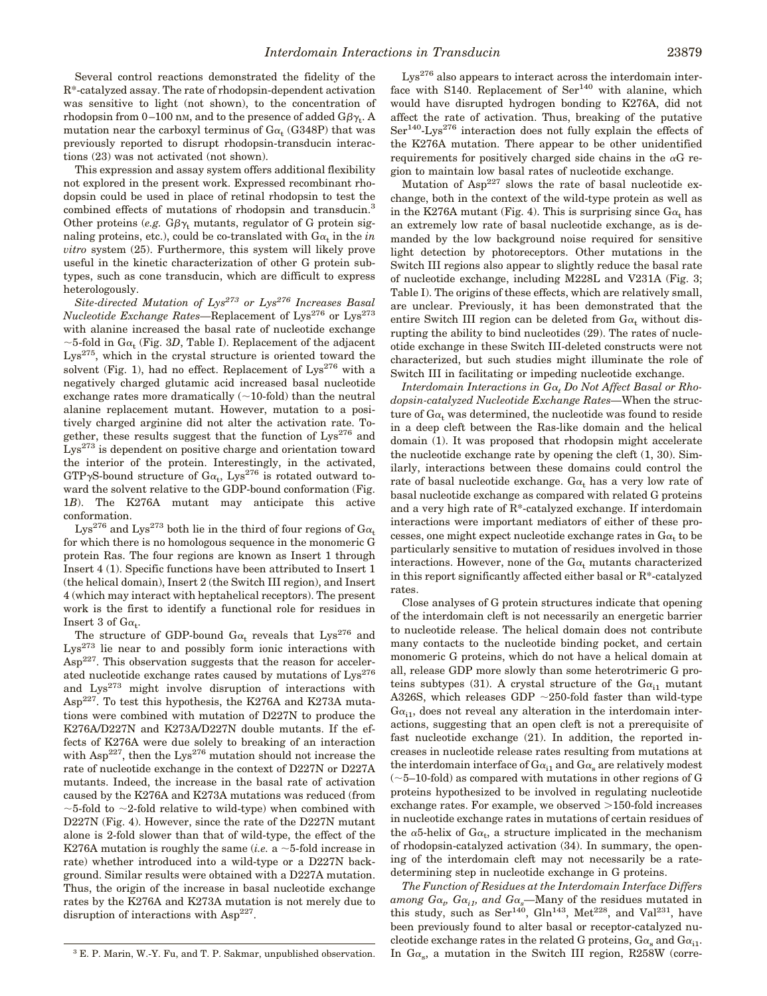Several control reactions demonstrated the fidelity of the R\*-catalyzed assay. The rate of rhodopsin-dependent activation was sensitive to light (not shown), to the concentration of rhodopsin from 0–100 nm, and to the presence of added  $\mathrm{G}\beta\gamma_{\mathrm{t}}$ . A mutation near the carboxyl terminus of G $\alpha_{\rm t}$  (G348P) that was previously reported to disrupt rhodopsin-transducin interactions (23) was not activated (not shown).

This expression and assay system offers additional flexibility not explored in the present work. Expressed recombinant rhodopsin could be used in place of retinal rhodopsin to test the combined effects of mutations of rhodopsin and transducin.<sup>3</sup> Other proteins (*e.g.*  $G\beta\gamma_t$  mutants, regulator of G protein signaling proteins, etc.), could be co-translated with  $\text{G}\alpha_\text{t}$  in the  $in$ *vitro* system (25). Furthermore, this system will likely prove useful in the kinetic characterization of other G protein subtypes, such as cone transducin, which are difficult to express heterologously.

*Site-directed Mutation of Lys<sup>273</sup> or Lys<sup>276</sup> Increases Basal Nucleotide Exchange Rates*—Replacement of Lys<sup>276</sup> or Lys<sup>273</sup> with alanine increased the basal rate of nucleotide exchange  ${\sim}5\text{-fold}$  in  $\text{G}\alpha_{\rm t}$  (Fig. 3D, Table I). Replacement of the adjacent  $Lys^{275}$ , which in the crystal structure is oriented toward the solvent (Fig. 1), had no effect. Replacement of  $Lys^{276}$  with a negatively charged glutamic acid increased basal nucleotide exchange rates more dramatically  $(\sim10\text{-fold})$  than the neutral alanine replacement mutant. However, mutation to a positively charged arginine did not alter the activation rate. Together, these results suggest that the function of  $Lys^{276}$  and Lys<sup>273</sup> is dependent on positive charge and orientation toward the interior of the protein. Interestingly, in the activated, GTP<sub>y</sub>S-bound structure of  $Ga_t$ , Lys<sup>276</sup> is rotated outward toward the solvent relative to the GDP-bound conformation (Fig. 1*B*). The K276A mutant may anticipate this active conformation.

Lys<sup>276</sup> and Lys<sup>273</sup> both lie in the third of four regions of  $Ga$ . for which there is no homologous sequence in the monomeric G protein Ras. The four regions are known as Insert 1 through Insert 4 (1). Specific functions have been attributed to Insert 1 (the helical domain), Insert 2 (the Switch III region), and Insert 4 (which may interact with heptahelical receptors). The present work is the first to identify a functional role for residues in  $I$ nsert 3 of G $\alpha_t$ .

The structure of GDP-bound  $Ga_t$  reveals that  $Lys^{276}$  and  $Lys^{273}$  lie near to and possibly form ionic interactions with  $\text{Asp}^{227}$ . This observation suggests that the reason for accelerated nucleotide exchange rates caused by mutations of  $Lys^{276}$ and Lys<sup>273</sup> might involve disruption of interactions with Asp<sup>227</sup>. To test this hypothesis, the K276A and K273A mutations were combined with mutation of D227N to produce the K276A/D227N and K273A/D227N double mutants. If the effects of K276A were due solely to breaking of an interaction with  $\text{Asp}^{227}$ , then the Lys<sup>276</sup> mutation should not increase the rate of nucleotide exchange in the context of D227N or D227A mutants. Indeed, the increase in the basal rate of activation caused by the K276A and K273A mutations was reduced (from  $\sim$ 5-fold to  $\sim$ 2-fold relative to wild-type) when combined with D227N (Fig. 4). However, since the rate of the D227N mutant alone is 2-fold slower than that of wild-type, the effect of the K276A mutation is roughly the same (*i.e.* a  $\sim$  5-fold increase in rate) whether introduced into a wild-type or a D227N background. Similar results were obtained with a D227A mutation. Thus, the origin of the increase in basal nucleotide exchange rates by the K276A and K273A mutation is not merely due to disruption of interactions with Asp<sup>227</sup>.

would have disrupted hydrogen bonding to K276A, did not affect the rate of activation. Thus, breaking of the putative  $Ser<sup>140</sup>-Lys<sup>276</sup>$  interaction does not fully explain the effects of the K276A mutation. There appear to be other unidentified requirements for positively charged side chains in the  $\alpha$ G region to maintain low basal rates of nucleotide exchange.

Mutation of  $Asp^{227}$  slows the rate of basal nucleotide exchange, both in the context of the wild-type protein as well as in the K276A mutant (Fig. 4). This is surprising since  $Ga<sub>t</sub>$  has an extremely low rate of basal nucleotide exchange, as is demanded by the low background noise required for sensitive light detection by photoreceptors. Other mutations in the Switch III regions also appear to slightly reduce the basal rate of nucleotide exchange, including M228L and V231A (Fig. 3; Table I). The origins of these effects, which are relatively small, are unclear. Previously, it has been demonstrated that the entire Switch III region can be deleted from  $Ga_t$  without disrupting the ability to bind nucleotides (29). The rates of nucleotide exchange in these Switch III-deleted constructs were not characterized, but such studies might illuminate the role of Switch III in facilitating or impeding nucleotide exchange.

 $Lys^{276}$  also appears to interact across the interdomain interface with S140. Replacement of  $\text{Ser}^{140}$  with alanine, which

*Interdomain Interactions in G*<sup>a</sup>*<sup>t</sup> Do Not Affect Basal or Rhodopsin-catalyzed Nucleotide Exchange Rates—*When the structure of  $Ga<sub>t</sub>$  was determined, the nucleotide was found to reside in a deep cleft between the Ras-like domain and the helical domain (1). It was proposed that rhodopsin might accelerate the nucleotide exchange rate by opening the cleft (1, 30). Similarly, interactions between these domains could control the rate of basal nucleotide exchange.  $Ga_t$  has a very low rate of basal nucleotide exchange as compared with related G proteins and a very high rate of R\*-catalyzed exchange. If interdomain interactions were important mediators of either of these processes, one might expect nucleotide exchange rates in  $\rm Ga_{t}$  to be particularly sensitive to mutation of residues involved in those interactions. However, none of the  $Ga_t$  mutants characterized in this report significantly affected either basal or R\*-catalyzed rates.

Close analyses of G protein structures indicate that opening of the interdomain cleft is not necessarily an energetic barrier to nucleotide release. The helical domain does not contribute many contacts to the nucleotide binding pocket, and certain monomeric G proteins, which do not have a helical domain at all, release GDP more slowly than some heterotrimeric G proteins subtypes (31). A crystal structure of the  $Ga_{i1}$  mutant A326S, which releases GDP  $\sim$ 250-fold faster than wild-type  $Ga_{i1}$ , does not reveal any alteration in the interdomain interactions, suggesting that an open cleft is not a prerequisite of fast nucleotide exchange (21). In addition, the reported increases in nucleotide release rates resulting from mutations at the interdomain interface of  $Ga_{i1}$  and  $Ga_{s}$  are relatively modest  $(-5-10-fold)$  as compared with mutations in other regions of G proteins hypothesized to be involved in regulating nucleotide exchange rates. For example, we observed  $>150$ -fold increases in nucleotide exchange rates in mutations of certain residues of the  $\alpha$ 5-helix of G $\alpha$ <sub>t</sub>, a structure implicated in the mechanism of rhodopsin-catalyzed activation (34). In summary, the opening of the interdomain cleft may not necessarily be a ratedetermining step in nucleotide exchange in G proteins.

*The Function of Residues at the Interdomain Interface Differs*  $a$ *mong*  $G\alpha$ *<sub>p</sub>*  $G\alpha$ *<sub>i1</sub>, and*  $G\alpha$ *<sub>s</sub>—Many of the residues mutated in* this study, such as  $\text{Ser}^{140}$ ,  $\text{Gln}^{143}$ ,  $\text{Met}^{228}$ , and  $\text{Val}^{231}$ , have been previously found to alter basal or receptor-catalyzed nucleotide exchange rates in the related G proteins,  $G\alpha_s$  and  $G\alpha_{i_1}$ . <sup>3</sup> E. P. Marin, W.-Y. Fu, and T. P. Sakmar, unpublished observation. In  $G\alpha_s$ , a mutation in the Switch III region, R258W (corre-